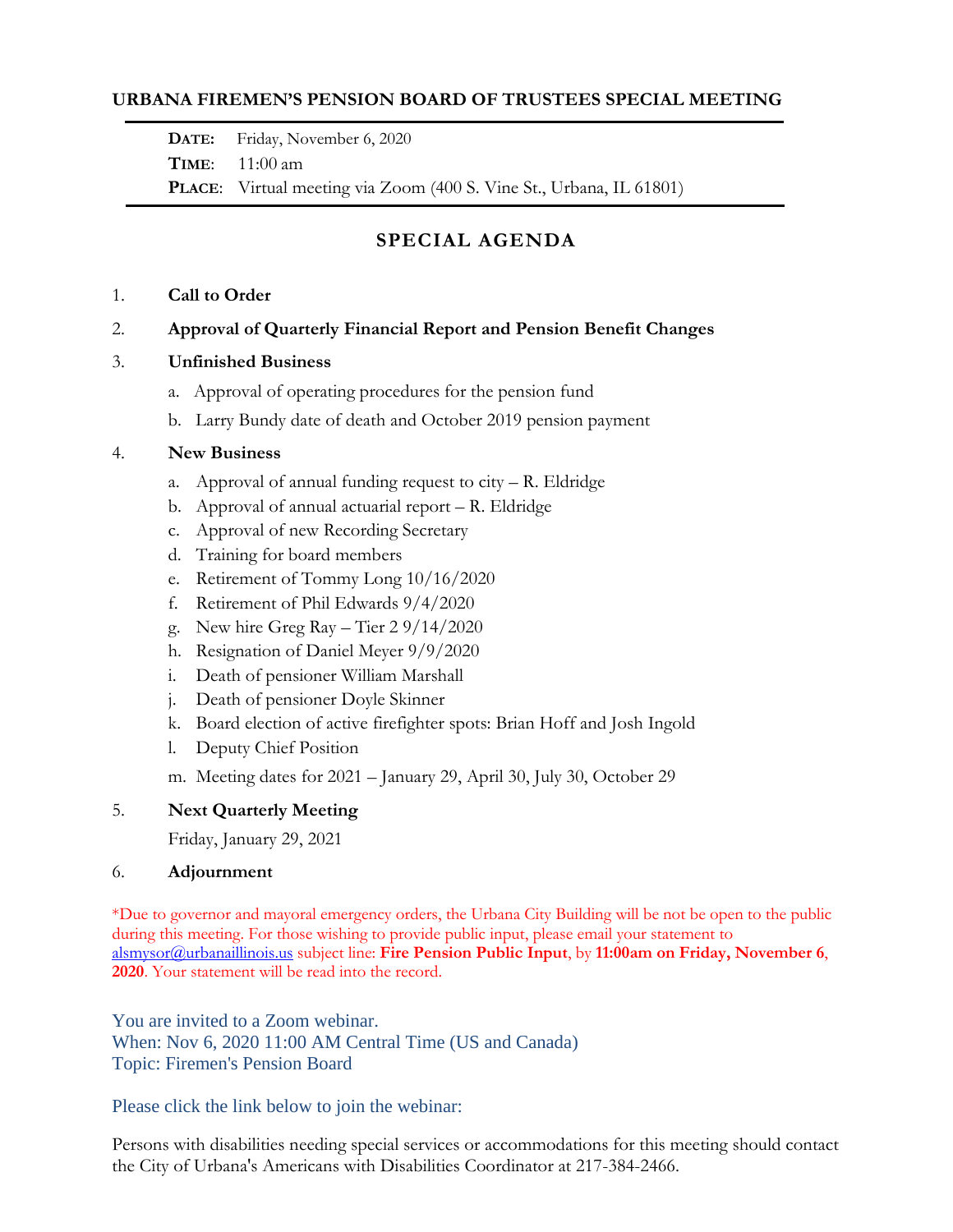## **URBANA FIREMEN'S PENSION BOARD OF TRUSTEES SPECIAL MEETING**

**DATE:** Friday, November 6, 2020

**TIME**: 11:00 am

**PLACE**: Virtual meeting via Zoom (400 S. Vine St., Urbana, IL 61801)

# **SPECIAL AGENDA**

### 1. **Call to Order**

2. **Approval of Quarterly Financial Report and Pension Benefit Changes**

## 3. **Unfinished Business**

- a. Approval of operating procedures for the pension fund
- b. Larry Bundy date of death and October 2019 pension payment

## 4. **New Business**

- a. Approval of annual funding request to  $city R$ . Eldridge
- b. Approval of annual actuarial report R. Eldridge
- c. Approval of new Recording Secretary
- d. Training for board members
- e. Retirement of Tommy Long 10/16/2020
- f. Retirement of Phil Edwards 9/4/2020
- g. New hire Greg Ray Tier  $29/14/2020$
- h. Resignation of Daniel Meyer 9/9/2020
- i. Death of pensioner William Marshall
- j. Death of pensioner Doyle Skinner
- k. Board election of active firefighter spots: Brian Hoff and Josh Ingold
- l. Deputy Chief Position
- m. Meeting dates for 2021 January 29, April 30, July 30, October 29

## 5. **Next Quarterly Meeting**

Friday, January 29, 2021

## 6. **Adjournment**

\*Due to governor and mayoral emergency orders, the Urbana City Building will be not be open to the public during this meeting. For those wishing to provide public input, please email your statement to [alsmysor@urbanaillinois.us](mailto:alsmysor@urbanaillinois.us) subject line: **Fire Pension Public Input**, by **11:00am on Friday, November 6**, **2020**. Your statement will be read into the record.

You are invited to a Zoom webinar. When: Nov 6, 2020 11:00 AM Central Time (US and Canada) Topic: Firemen's Pension Board

Please click the link below to join the webinar:

Persons with disabilities needing special services or accommodations for this meeting should contact the City of Urbana's Americans with Disabilities Coordinator at 217-384-2466.